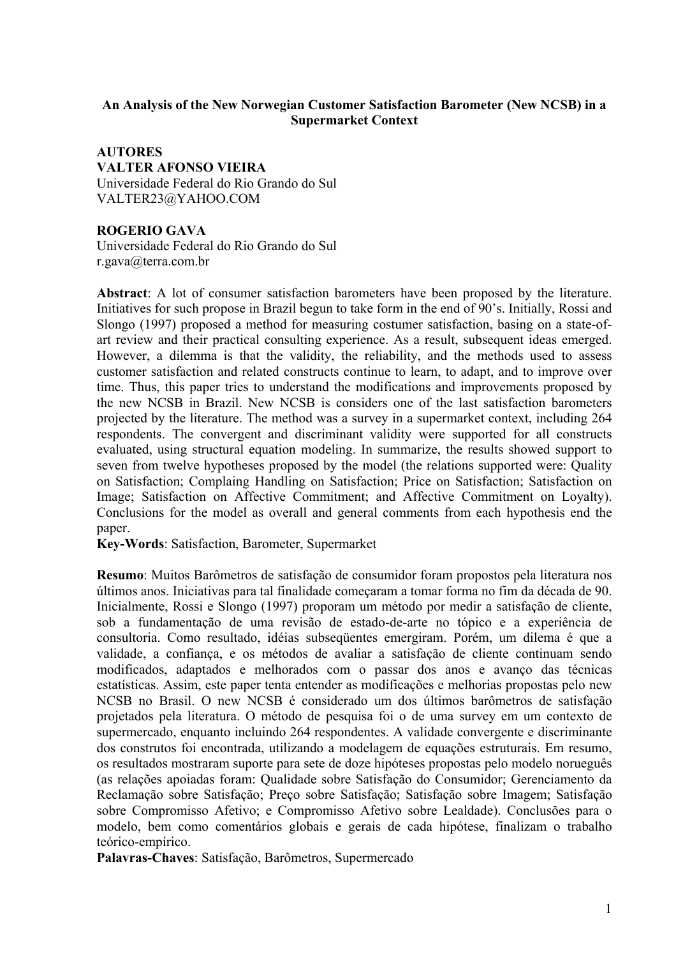# **An Analysis of the New Norwegian Customer Satisfaction Barometer (New NCSB) in a Supermarket Context**

**AUTORES VALTER AFONSO VIEIRA** Universidade Federal do Rio Grando do Sul VALTER23@YAHOO.COM

## **ROGERIO GAVA**

Universidade Federal do Rio Grando do Sul r.gava@terra.com.br

**Abstract**: A lot of consumer satisfaction barometers have been proposed by the literature. Initiatives for such propose in Brazil begun to take form in the end of 90's. Initially, Rossi and Slongo (1997) proposed a method for measuring costumer satisfaction, basing on a state-ofart review and their practical consulting experience. As a result, subsequent ideas emerged. However, a dilemma is that the validity, the reliability, and the methods used to assess customer satisfaction and related constructs continue to learn, to adapt, and to improve over time. Thus, this paper tries to understand the modifications and improvements proposed by the new NCSB in Brazil. New NCSB is considers one of the last satisfaction barometers projected by the literature. The method was a survey in a supermarket context, including 264 respondents. The convergent and discriminant validity were supported for all constructs evaluated, using structural equation modeling. In summarize, the results showed support to seven from twelve hypotheses proposed by the model (the relations supported were: Quality on Satisfaction; Complaing Handling on Satisfaction; Price on Satisfaction; Satisfaction on Image; Satisfaction on Affective Commitment; and Affective Commitment on Loyalty). Conclusions for the model as overall and general comments from each hypothesis end the paper.

**Key-Words**: Satisfaction, Barometer, Supermarket

**Resumo**: Muitos Barômetros de satisfação de consumidor foram propostos pela literatura nos últimos anos. Iniciativas para tal finalidade começaram a tomar forma no fim da década de 90. Inicialmente, Rossi e Slongo (1997) proporam um método por medir a satisfação de cliente, sob a fundamentação de uma revisão de estado-de-arte no tópico e a experiência de consultoria. Como resultado, idéias subseqüentes emergiram. Porém, um dilema é que a validade, a confiança, e os métodos de avaliar a satisfação de cliente continuam sendo modificados, adaptados e melhorados com o passar dos anos e avanço das técnicas estatísticas. Assim, este paper tenta entender as modificações e melhorias propostas pelo new NCSB no Brasil. O new NCSB é considerado um dos últimos barômetros de satisfação projetados pela literatura. O método de pesquisa foi o de uma survey em um contexto de supermercado, enquanto incluindo 264 respondentes. A validade convergente e discriminante dos construtos foi encontrada, utilizando a modelagem de equações estruturais. Em resumo, os resultados mostraram suporte para sete de doze hipóteses propostas pelo modelo norueguês (as relações apoiadas foram: Qualidade sobre Satisfação do Consumidor; Gerenciamento da Reclamação sobre Satisfação; Preço sobre Satisfação; Satisfação sobre Imagem; Satisfação sobre Compromisso Afetivo; e Compromisso Afetivo sobre Lealdade). Conclusões para o modelo, bem como comentários globais e gerais de cada hipótese, finalizam o trabalho teórico-empírico.

**Palavras-Chaves**: Satisfação, Barômetros, Supermercado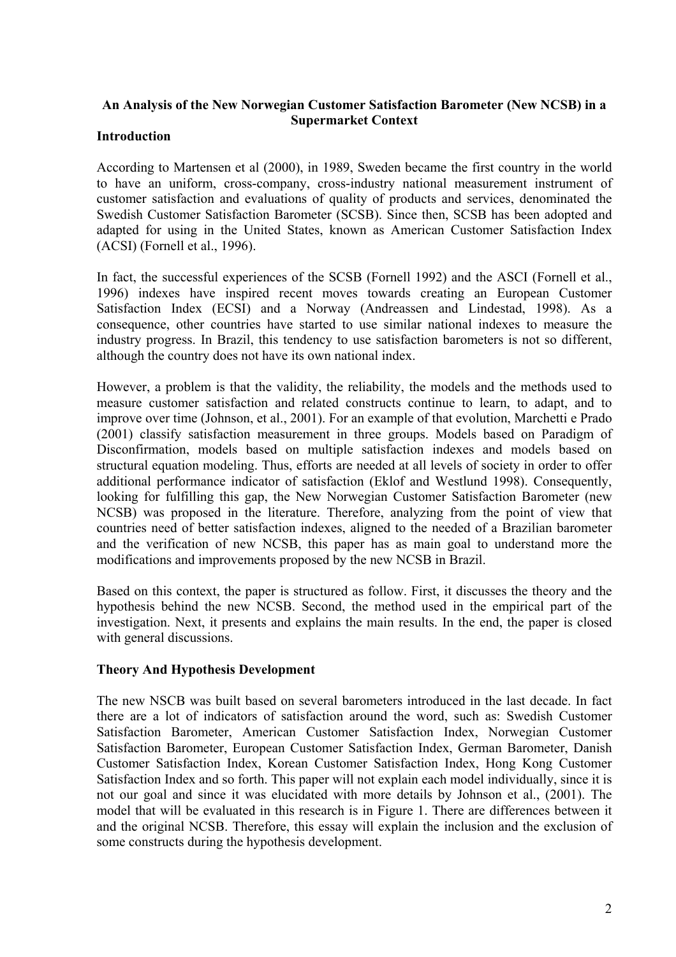# **An Analysis of the New Norwegian Customer Satisfaction Barometer (New NCSB) in a Supermarket Context**

### **Introduction**

According to Martensen et al (2000), in 1989, Sweden became the first country in the world to have an uniform, cross-company, cross-industry national measurement instrument of customer satisfaction and evaluations of quality of products and services, denominated the Swedish Customer Satisfaction Barometer (SCSB). Since then, SCSB has been adopted and adapted for using in the United States, known as American Customer Satisfaction Index (ACSI) (Fornell et al., 1996).

In fact, the successful experiences of the SCSB (Fornell 1992) and the ASCI (Fornell et al., 1996) indexes have inspired recent moves towards creating an European Customer Satisfaction Index (ECSI) and a Norway (Andreassen and Lindestad, 1998). As a consequence, other countries have started to use similar national indexes to measure the industry progress. In Brazil, this tendency to use satisfaction barometers is not so different, although the country does not have its own national index.

However, a problem is that the validity, the reliability, the models and the methods used to measure customer satisfaction and related constructs continue to learn, to adapt, and to improve over time (Johnson, et al., 2001). For an example of that evolution, Marchetti e Prado (2001) classify satisfaction measurement in three groups. Models based on Paradigm of Disconfirmation, models based on multiple satisfaction indexes and models based on structural equation modeling. Thus, efforts are needed at all levels of society in order to offer additional performance indicator of satisfaction (Eklof and Westlund 1998). Consequently, looking for fulfilling this gap, the New Norwegian Customer Satisfaction Barometer (new NCSB) was proposed in the literature. Therefore, analyzing from the point of view that countries need of better satisfaction indexes, aligned to the needed of a Brazilian barometer and the verification of new NCSB, this paper has as main goal to understand more the modifications and improvements proposed by the new NCSB in Brazil.

Based on this context, the paper is structured as follow. First, it discusses the theory and the hypothesis behind the new NCSB. Second, the method used in the empirical part of the investigation. Next, it presents and explains the main results. In the end, the paper is closed with general discussions.

## **Theory And Hypothesis Development**

The new NSCB was built based on several barometers introduced in the last decade. In fact there are a lot of indicators of satisfaction around the word, such as: Swedish Customer Satisfaction Barometer, American Customer Satisfaction Index, Norwegian Customer Satisfaction Barometer, European Customer Satisfaction Index, German Barometer, Danish Customer Satisfaction Index, Korean Customer Satisfaction Index, Hong Kong Customer Satisfaction Index and so forth. This paper will not explain each model individually, since it is not our goal and since it was elucidated with more details by Johnson et al., (2001). The model that will be evaluated in this research is in Figure 1. There are differences between it and the original NCSB. Therefore, this essay will explain the inclusion and the exclusion of some constructs during the hypothesis development.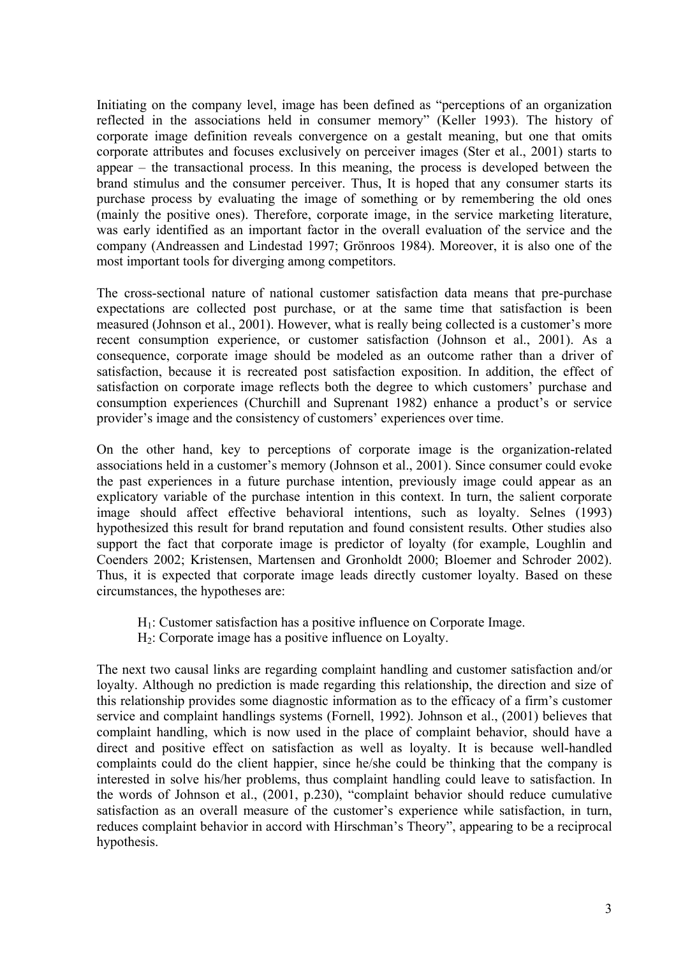Initiating on the company level, image has been defined as "perceptions of an organization reflected in the associations held in consumer memory" (Keller 1993). The history of corporate image definition reveals convergence on a gestalt meaning, but one that omits corporate attributes and focuses exclusively on perceiver images (Ster et al., 2001) starts to appear – the transactional process. In this meaning, the process is developed between the brand stimulus and the consumer perceiver. Thus, It is hoped that any consumer starts its purchase process by evaluating the image of something or by remembering the old ones (mainly the positive ones). Therefore, corporate image, in the service marketing literature, was early identified as an important factor in the overall evaluation of the service and the company (Andreassen and Lindestad 1997; Grönroos 1984). Moreover, it is also one of the most important tools for diverging among competitors.

The cross-sectional nature of national customer satisfaction data means that pre-purchase expectations are collected post purchase, or at the same time that satisfaction is been measured (Johnson et al., 2001). However, what is really being collected is a customer's more recent consumption experience, or customer satisfaction (Johnson et al., 2001). As a consequence, corporate image should be modeled as an outcome rather than a driver of satisfaction, because it is recreated post satisfaction exposition. In addition, the effect of satisfaction on corporate image reflects both the degree to which customers' purchase and consumption experiences (Churchill and Suprenant 1982) enhance a product's or service provider's image and the consistency of customers' experiences over time.

On the other hand, key to perceptions of corporate image is the organization-related associations held in a customer's memory (Johnson et al., 2001). Since consumer could evoke the past experiences in a future purchase intention, previously image could appear as an explicatory variable of the purchase intention in this context. In turn, the salient corporate image should affect effective behavioral intentions, such as loyalty. Selnes (1993) hypothesized this result for brand reputation and found consistent results. Other studies also support the fact that corporate image is predictor of loyalty (for example, Loughlin and Coenders 2002; Kristensen, Martensen and Gronholdt 2000; Bloemer and Schroder 2002). Thus, it is expected that corporate image leads directly customer loyalty. Based on these circumstances, the hypotheses are:

- H1: Customer satisfaction has a positive influence on Corporate Image.
- H2: Corporate image has a positive influence on Loyalty.

The next two causal links are regarding complaint handling and customer satisfaction and/or loyalty. Although no prediction is made regarding this relationship, the direction and size of this relationship provides some diagnostic information as to the efficacy of a firm's customer service and complaint handlings systems (Fornell, 1992). Johnson et al., (2001) believes that complaint handling, which is now used in the place of complaint behavior, should have a direct and positive effect on satisfaction as well as loyalty. It is because well-handled complaints could do the client happier, since he/she could be thinking that the company is interested in solve his/her problems, thus complaint handling could leave to satisfaction. In the words of Johnson et al., (2001, p.230), "complaint behavior should reduce cumulative satisfaction as an overall measure of the customer's experience while satisfaction, in turn, reduces complaint behavior in accord with Hirschman's Theory", appearing to be a reciprocal hypothesis.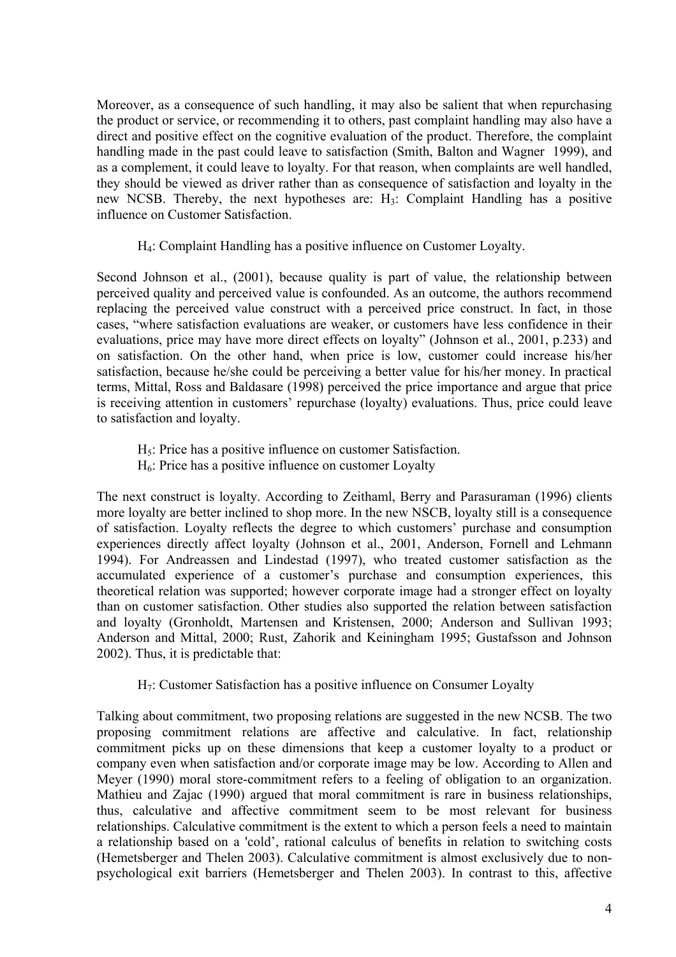Moreover, as a consequence of such handling, it may also be salient that when repurchasing the product or service, or recommending it to others, past complaint handling may also have a direct and positive effect on the cognitive evaluation of the product. Therefore, the complaint handling made in the past could leave to satisfaction (Smith, Balton and Wagner 1999), and as a complement, it could leave to loyalty. For that reason, when complaints are well handled, they should be viewed as driver rather than as consequence of satisfaction and loyalty in the new NCSB. Thereby, the next hypotheses are:  $H_3$ : Complaint Handling has a positive influence on Customer Satisfaction.

H4: Complaint Handling has a positive influence on Customer Loyalty.

Second Johnson et al., (2001), because quality is part of value, the relationship between perceived quality and perceived value is confounded. As an outcome, the authors recommend replacing the perceived value construct with a perceived price construct. In fact, in those cases, "where satisfaction evaluations are weaker, or customers have less confidence in their evaluations, price may have more direct effects on loyalty" (Johnson et al., 2001, p.233) and on satisfaction. On the other hand, when price is low, customer could increase his/her satisfaction, because he/she could be perceiving a better value for his/her money. In practical terms, Mittal, Ross and Baldasare (1998) perceived the price importance and argue that price is receiving attention in customers' repurchase (loyalty) evaluations. Thus, price could leave to satisfaction and loyalty.

 $H<sub>5</sub>$ : Price has a positive influence on customer Satisfaction.

 $H<sub>6</sub>$ : Price has a positive influence on customer Loyalty

The next construct is loyalty. According to Zeithaml, Berry and Parasuraman (1996) clients more loyalty are better inclined to shop more. In the new NSCB, loyalty still is a consequence of satisfaction. Loyalty reflects the degree to which customers' purchase and consumption experiences directly affect loyalty (Johnson et al., 2001, Anderson, Fornell and Lehmann 1994). For Andreassen and Lindestad (1997), who treated customer satisfaction as the accumulated experience of a customer's purchase and consumption experiences, this theoretical relation was supported; however corporate image had a stronger effect on loyalty than on customer satisfaction. Other studies also supported the relation between satisfaction and loyalty (Gronholdt, Martensen and Kristensen, 2000; Anderson and Sullivan 1993; Anderson and Mittal, 2000; Rust, Zahorik and Keiningham 1995; Gustafsson and Johnson 2002). Thus, it is predictable that:

H7: Customer Satisfaction has a positive influence on Consumer Loyalty

Talking about commitment, two proposing relations are suggested in the new NCSB. The two proposing commitment relations are affective and calculative. In fact, relationship commitment picks up on these dimensions that keep a customer loyalty to a product or company even when satisfaction and/or corporate image may be low. According to Allen and Meyer (1990) moral store-commitment refers to a feeling of obligation to an organization. Mathieu and Zajac (1990) argued that moral commitment is rare in business relationships, thus, calculative and affective commitment seem to be most relevant for business relationships. Calculative commitment is the extent to which a person feels a need to maintain a relationship based on a 'cold', rational calculus of benefits in relation to switching costs (Hemetsberger and Thelen 2003). Calculative commitment is almost exclusively due to nonpsychological exit barriers (Hemetsberger and Thelen 2003). In contrast to this, affective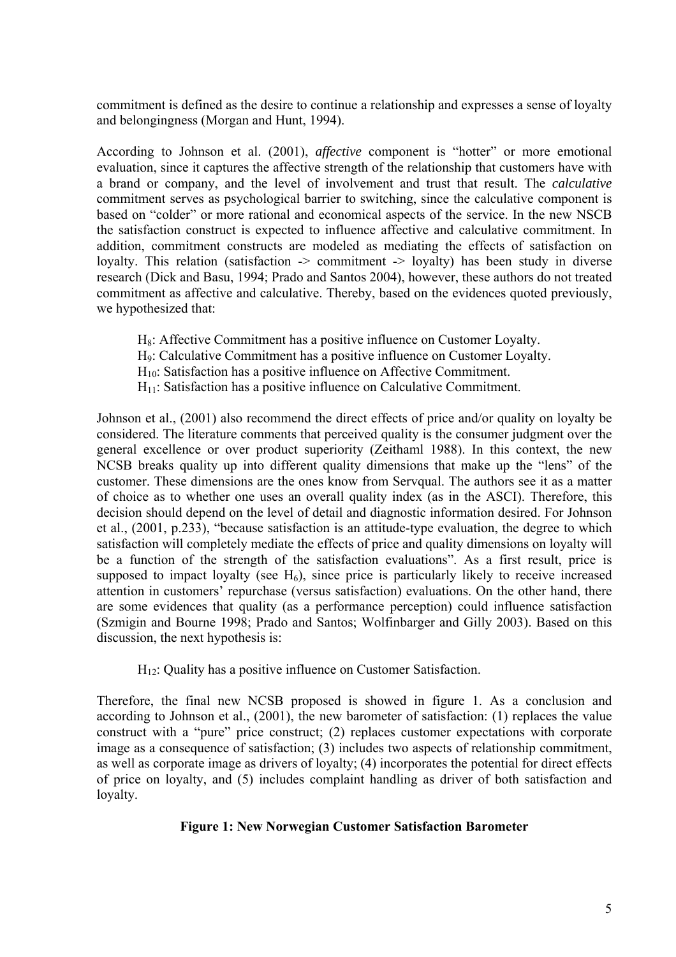commitment is defined as the desire to continue a relationship and expresses a sense of loyalty and belongingness (Morgan and Hunt, 1994).

According to Johnson et al. (2001), *affective* component is "hotter" or more emotional evaluation, since it captures the affective strength of the relationship that customers have with a brand or company, and the level of involvement and trust that result. The *calculative* commitment serves as psychological barrier to switching, since the calculative component is based on "colder" or more rational and economical aspects of the service. In the new NSCB the satisfaction construct is expected to influence affective and calculative commitment. In addition, commitment constructs are modeled as mediating the effects of satisfaction on loyalty. This relation (satisfaction  $\rightarrow$  commitment  $\rightarrow$  loyalty) has been study in diverse research (Dick and Basu, 1994; Prado and Santos 2004), however, these authors do not treated commitment as affective and calculative. Thereby, based on the evidences quoted previously, we hypothesized that:

- H<sub>8</sub>: Affective Commitment has a positive influence on Customer Loyalty.
- H9: Calculative Commitment has a positive influence on Customer Loyalty.
- H10: Satisfaction has a positive influence on Affective Commitment.
- $H_{11}$ : Satisfaction has a positive influence on Calculative Commitment.

Johnson et al., (2001) also recommend the direct effects of price and/or quality on loyalty be considered. The literature comments that perceived quality is the consumer judgment over the general excellence or over product superiority (Zeithaml 1988). In this context, the new NCSB breaks quality up into different quality dimensions that make up the "lens" of the customer. These dimensions are the ones know from Servqual. The authors see it as a matter of choice as to whether one uses an overall quality index (as in the ASCI). Therefore, this decision should depend on the level of detail and diagnostic information desired. For Johnson et al., (2001, p.233), "because satisfaction is an attitude-type evaluation, the degree to which satisfaction will completely mediate the effects of price and quality dimensions on loyalty will be a function of the strength of the satisfaction evaluations". As a first result, price is supposed to impact loyalty (see  $H_6$ ), since price is particularly likely to receive increased attention in customers' repurchase (versus satisfaction) evaluations. On the other hand, there are some evidences that quality (as a performance perception) could influence satisfaction (Szmigin and Bourne 1998; Prado and Santos; Wolfinbarger and Gilly 2003). Based on this discussion, the next hypothesis is:

 $H_{12}$ : Quality has a positive influence on Customer Satisfaction.

Therefore, the final new NCSB proposed is showed in figure 1. As a conclusion and according to Johnson et al., (2001), the new barometer of satisfaction: (1) replaces the value construct with a "pure" price construct; (2) replaces customer expectations with corporate image as a consequence of satisfaction; (3) includes two aspects of relationship commitment, as well as corporate image as drivers of loyalty; (4) incorporates the potential for direct effects of price on loyalty, and (5) includes complaint handling as driver of both satisfaction and loyalty.

### **Figure 1: New Norwegian Customer Satisfaction Barometer**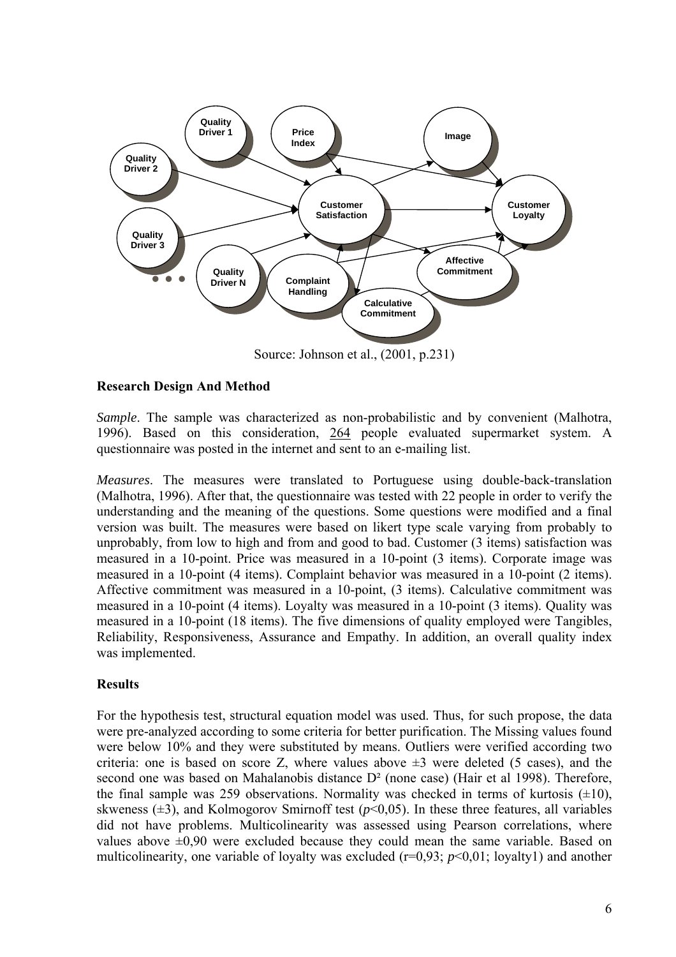

### **Research Design And Method**

*Sample*. The sample was characterized as non-probabilistic and by convenient (Malhotra, 1996). Based on this consideration, 264 people evaluated supermarket system. A questionnaire was posted in the internet and sent to an e-mailing list.

*Measures*. The measures were translated to Portuguese using double-back-translation (Malhotra, 1996). After that, the questionnaire was tested with 22 people in order to verify the understanding and the meaning of the questions. Some questions were modified and a final version was built. The measures were based on likert type scale varying from probably to unprobably, from low to high and from and good to bad. Customer (3 items) satisfaction was measured in a 10-point. Price was measured in a 10-point (3 items). Corporate image was measured in a 10-point (4 items). Complaint behavior was measured in a 10-point (2 items). Affective commitment was measured in a 10-point, (3 items). Calculative commitment was measured in a 10-point (4 items). Loyalty was measured in a 10-point (3 items). Quality was measured in a 10-point (18 items). The five dimensions of quality employed were Tangibles, Reliability, Responsiveness, Assurance and Empathy. In addition, an overall quality index was implemented.

### **Results**

For the hypothesis test, structural equation model was used. Thus, for such propose, the data were pre-analyzed according to some criteria for better purification. The Missing values found were below 10% and they were substituted by means. Outliers were verified according two criteria: one is based on score Z, where values above  $\pm 3$  were deleted (5 cases), and the second one was based on Mahalanobis distance  $D^2$  (none case) (Hair et al 1998). Therefore, the final sample was 259 observations. Normality was checked in terms of kurtosis  $(\pm 10)$ , skweness  $(\pm 3)$ , and Kolmogorov Smirnoff test ( $p \le 0.05$ ). In these three features, all variables did not have problems. Multicolinearity was assessed using Pearson correlations, where values above  $\pm 0.90$  were excluded because they could mean the same variable. Based on multicolinearity, one variable of loyalty was excluded (r=0,93; *p*<0,01; loyalty1) and another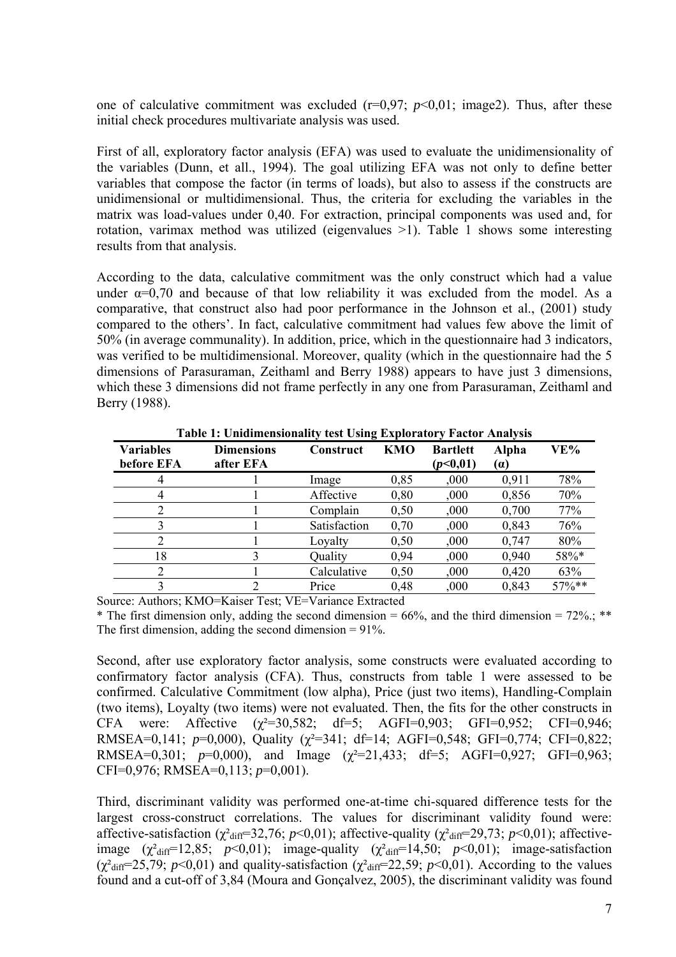one of calculative commitment was excluded  $(r=0.97; p<0.01; \text{image2})$ . Thus, after these initial check procedures multivariate analysis was used.

First of all, exploratory factor analysis (EFA) was used to evaluate the unidimensionality of the variables (Dunn, et all., 1994). The goal utilizing EFA was not only to define better variables that compose the factor (in terms of loads), but also to assess if the constructs are unidimensional or multidimensional. Thus, the criteria for excluding the variables in the matrix was load-values under 0,40. For extraction, principal components was used and, for rotation, varimax method was utilized (eigenvalues >1). Table 1 shows some interesting results from that analysis.

According to the data, calculative commitment was the only construct which had a value under  $\alpha=0.70$  and because of that low reliability it was excluded from the model. As a comparative, that construct also had poor performance in the Johnson et al., (2001) study compared to the others'. In fact, calculative commitment had values few above the limit of 50% (in average communality). In addition, price, which in the questionnaire had 3 indicators, was verified to be multidimensional. Moreover, quality (which in the questionnaire had the 5 dimensions of Parasuraman, Zeithaml and Berry 1988) appears to have just 3 dimensions, which these 3 dimensions did not frame perfectly in any one from Parasuraman, Zeithaml and Berry (1988).

| <b>Variables</b><br>before EFA | <b>Dimensions</b><br>after EFA | Construct    | <b>KMO</b> | <b>Bartlett</b><br>(p<0,01) | <b>Alpha</b><br>(a) | VE%       |
|--------------------------------|--------------------------------|--------------|------------|-----------------------------|---------------------|-----------|
| 4                              |                                | Image        | 0,85       | ,000,                       | 0.911               | 78%       |
| 4                              |                                | Affective    | 0,80       | ,000,                       | 0,856               | 70%       |
|                                |                                | Complain     | 0,50       | 000.                        | 0,700               | 77%       |
|                                |                                | Satisfaction | 0,70       | 000.                        | 0,843               | 76%       |
|                                |                                | Loyalty      | 0,50       | 000,                        | 0,747               | 80%       |
| 18                             |                                | Ouality      | 0,94       | 000                         | 0,940               | 58%*      |
|                                |                                | Calculative  | 0,50       | 000,                        | 0,420               | 63%       |
|                                | າ                              | Price        | 0.48       | ,000                        | 0.843               | $57\%$ ** |

**Table 1: Unidimensionality test Using Exploratory Factor Analysis** 

Source: Authors; KMO=Kaiser Test; VE=Variance Extracted

\* The first dimension only, adding the second dimension =  $66\%$ , and the third dimension =  $72\%$ ; \*\* The first dimension, adding the second dimension  $= 91\%$ .

Second, after use exploratory factor analysis, some constructs were evaluated according to confirmatory factor analysis (CFA). Thus, constructs from table 1 were assessed to be confirmed. Calculative Commitment (low alpha), Price (just two items), Handling-Complain (two items), Loyalty (two items) were not evaluated. Then, the fits for the other constructs in CFA were: Affective  $(\gamma^2=30,582; df=5; AGFI=0,903; GFI=0,952; CFI=0,946;$ RMSEA=0,141; *p*=0,000), Quality (χ²=341; df=14; AGFI=0,548; GFI=0,774; CFI=0,822; RMSEA=0,301; *p*=0,000), and Image (χ²=21,433; df=5; AGFI=0,927; GFI=0,963; CFI=0,976; RMSEA=0,113; *p*=0,001).

Third, discriminant validity was performed one-at-time chi-squared difference tests for the largest cross-construct correlations. The values for discriminant validity found were: affective-satisfaction ( $\chi^2$ <sub>diff</sub>=32,76; *p*<0,01); affective-quality ( $\chi^2$ <sub>diff</sub>=29,73; *p*<0,01); affectiveimage  $(\chi^2_{\text{diff}}=12,85; p<0,01)$ ; image-quality  $(\chi^2_{\text{diff}}=14,50; p<0,01)$ ; image-satisfaction  $(\chi^2_{\text{diff}}=25,79; p<0,01)$  and quality-satisfaction  $(\chi^2_{\text{diff}}=22,59; p<0,01)$ . According to the values found and a cut-off of 3,84 (Moura and Gonçalvez, 2005), the discriminant validity was found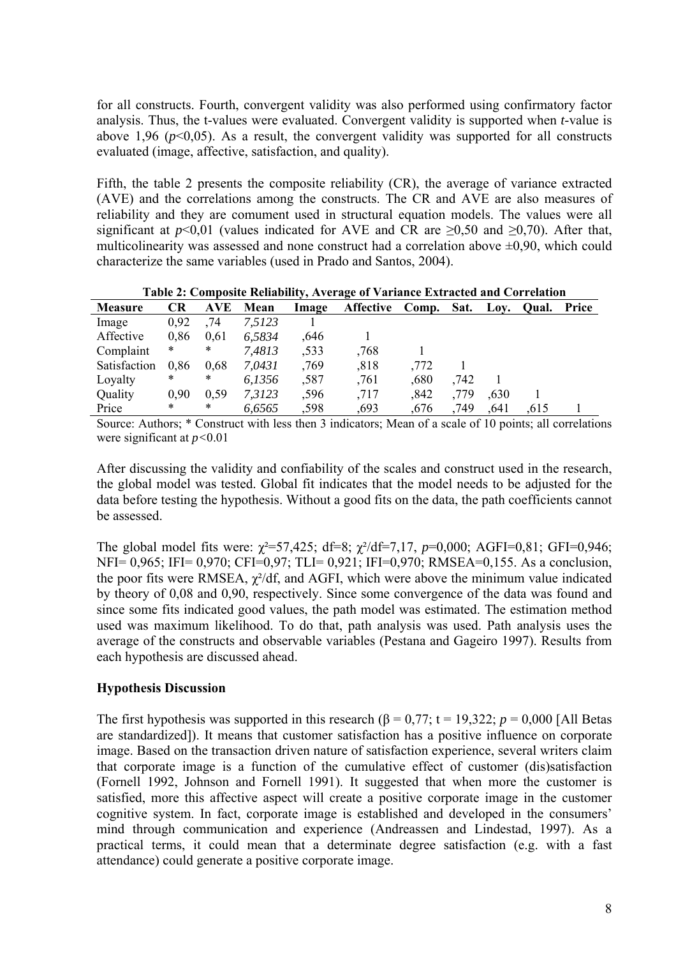for all constructs. Fourth, convergent validity was also performed using confirmatory factor analysis. Thus, the t-values were evaluated. Convergent validity is supported when *t*-value is above 1,96 ( $p<0.05$ ). As a result, the convergent validity was supported for all constructs evaluated (image, affective, satisfaction, and quality).

Fifth, the table 2 presents the composite reliability (CR), the average of variance extracted (AVE) and the correlations among the constructs. The CR and AVE are also measures of reliability and they are comument used in structural equation models. The values were all significant at  $p<0.01$  (values indicated for AVE and CR are  $\geq 0.50$  and  $\geq 0.70$ ). After that, multicolinearity was assessed and none construct had a correlation above  $\pm 0.90$ , which could characterize the same variables (used in Prado and Santos, 2004).

| <b>Measure</b> | <b>CR</b> | <b>AVE</b> | Mean   | Image | Affective Comp. |      | Sat. | Lov.  | Oual. | Price |  |
|----------------|-----------|------------|--------|-------|-----------------|------|------|-------|-------|-------|--|
| Image          | 0.92      | .74        | 7,5123 |       |                 |      |      |       |       |       |  |
| Affective      | 0,86      | 0,61       | 6,5834 | ,646  |                 |      |      |       |       |       |  |
| Complaint      | $\ast$    | *          | 7,4813 | .533  | ,768            |      |      |       |       |       |  |
| Satisfaction   | 0.86      | 0.68       | 7.0431 | ,769  | ,818            | ,772 |      |       |       |       |  |
| Loyalty        | *         | *          | 6,1356 | .587  | ,761            | ,680 | ,742 |       |       |       |  |
| Quality        | 0.90      | 0.59       | 7,3123 | .596  | ,717            | ,842 | ,779 | 0.630 |       |       |  |
| Price          | $\ast$    | *          | 6,6565 | .598  | .693            | .676 | .749 | .641  | .615  |       |  |

**Table 2: Composite Reliability, Average of Variance Extracted and Correlation** 

Source: Authors; \* Construct with less then 3 indicators; Mean of a scale of 10 points; all correlations were significant at *p<*0.01

After discussing the validity and confiability of the scales and construct used in the research, the global model was tested. Global fit indicates that the model needs to be adjusted for the data before testing the hypothesis. Without a good fits on the data, the path coefficients cannot be assessed.

The global model fits were:  $\chi^2 = 57,425$ ; df=8;  $\chi^2$ /df=7,17, *p*=0,000; AGFI=0,81; GFI=0,946; NFI= 0,965; IFI= 0,970; CFI=0,97; TLI= 0,921; IFI=0,970; RMSEA=0,155. As a conclusion, the poor fits were RMSEA,  $\chi^2$ /df, and AGFI, which were above the minimum value indicated by theory of 0,08 and 0,90, respectively. Since some convergence of the data was found and since some fits indicated good values, the path model was estimated. The estimation method used was maximum likelihood. To do that, path analysis was used. Path analysis uses the average of the constructs and observable variables (Pestana and Gageiro 1997). Results from each hypothesis are discussed ahead.

## **Hypothesis Discussion**

The first hypothesis was supported in this research ( $\beta = 0.77$ ;  $t = 19,322$ ;  $p = 0,000$  [All Betas are standardized]). It means that customer satisfaction has a positive influence on corporate image. Based on the transaction driven nature of satisfaction experience, several writers claim that corporate image is a function of the cumulative effect of customer (dis)satisfaction (Fornell 1992, Johnson and Fornell 1991). It suggested that when more the customer is satisfied, more this affective aspect will create a positive corporate image in the customer cognitive system. In fact, corporate image is established and developed in the consumers' mind through communication and experience (Andreassen and Lindestad, 1997). As a practical terms, it could mean that a determinate degree satisfaction (e.g. with a fast attendance) could generate a positive corporate image.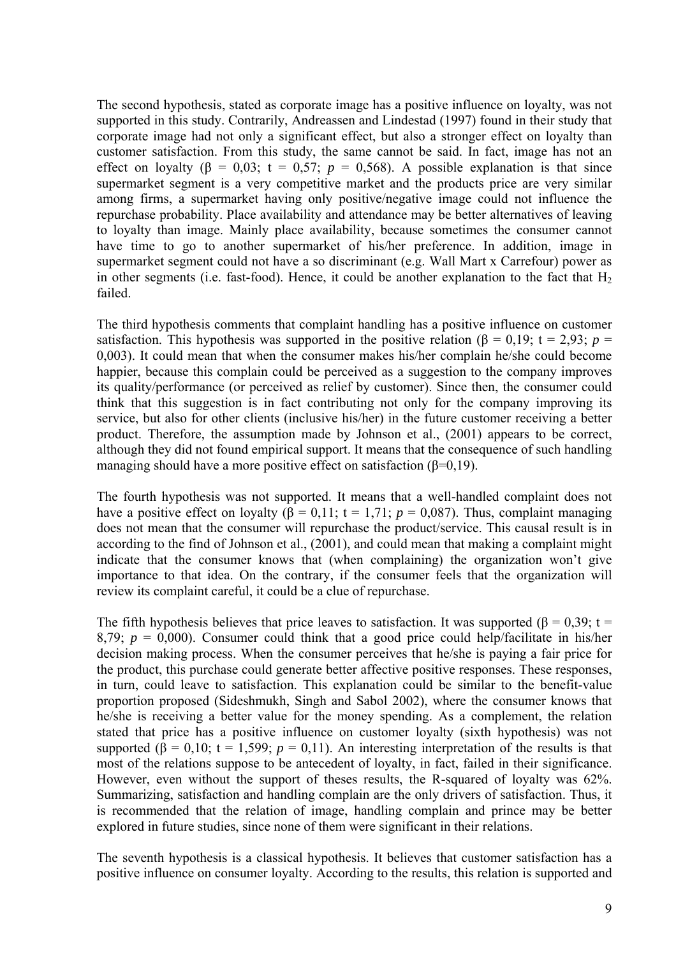The second hypothesis, stated as corporate image has a positive influence on loyalty, was not supported in this study. Contrarily, Andreassen and Lindestad (1997) found in their study that corporate image had not only a significant effect, but also a stronger effect on loyalty than customer satisfaction. From this study, the same cannot be said. In fact, image has not an effect on loyalty ( $\beta$  = 0,03; t = 0,57;  $p$  = 0,568). A possible explanation is that since supermarket segment is a very competitive market and the products price are very similar among firms, a supermarket having only positive/negative image could not influence the repurchase probability. Place availability and attendance may be better alternatives of leaving to loyalty than image. Mainly place availability, because sometimes the consumer cannot have time to go to another supermarket of his/her preference. In addition, image in supermarket segment could not have a so discriminant (e.g. Wall Mart x Carrefour) power as in other segments (i.e. fast-food). Hence, it could be another explanation to the fact that  $H_2$ failed.

The third hypothesis comments that complaint handling has a positive influence on customer satisfaction. This hypothesis was supported in the positive relation ( $\beta = 0.19$ ;  $t = 2.93$ ;  $p =$ 0,003). It could mean that when the consumer makes his/her complain he/she could become happier, because this complain could be perceived as a suggestion to the company improves its quality/performance (or perceived as relief by customer). Since then, the consumer could think that this suggestion is in fact contributing not only for the company improving its service, but also for other clients (inclusive his/her) in the future customer receiving a better product. Therefore, the assumption made by Johnson et al., (2001) appears to be correct, although they did not found empirical support. It means that the consequence of such handling managing should have a more positive effect on satisfaction  $(\beta=0,19)$ .

The fourth hypothesis was not supported. It means that a well-handled complaint does not have a positive effect on loyalty  $(\beta = 0.11; t = 1.71; p = 0.087)$ . Thus, complaint managing does not mean that the consumer will repurchase the product/service. This causal result is in according to the find of Johnson et al., (2001), and could mean that making a complaint might indicate that the consumer knows that (when complaining) the organization won't give importance to that idea. On the contrary, if the consumer feels that the organization will review its complaint careful, it could be a clue of repurchase.

The fifth hypothesis believes that price leaves to satisfaction. It was supported ( $\beta = 0.39$ ; t = 8,79;  $p = 0,000$ ). Consumer could think that a good price could help/facilitate in his/her decision making process. When the consumer perceives that he/she is paying a fair price for the product, this purchase could generate better affective positive responses. These responses, in turn, could leave to satisfaction. This explanation could be similar to the benefit-value proportion proposed (Sideshmukh, Singh and Sabol 2002), where the consumer knows that he/she is receiving a better value for the money spending. As a complement, the relation stated that price has a positive influence on customer loyalty (sixth hypothesis) was not supported ( $\beta = 0.10$ ; t = 1,599;  $p = 0.11$ ). An interesting interpretation of the results is that most of the relations suppose to be antecedent of loyalty, in fact, failed in their significance. However, even without the support of theses results, the R-squared of loyalty was 62%. Summarizing, satisfaction and handling complain are the only drivers of satisfaction. Thus, it is recommended that the relation of image, handling complain and prince may be better explored in future studies, since none of them were significant in their relations.

The seventh hypothesis is a classical hypothesis. It believes that customer satisfaction has a positive influence on consumer loyalty. According to the results, this relation is supported and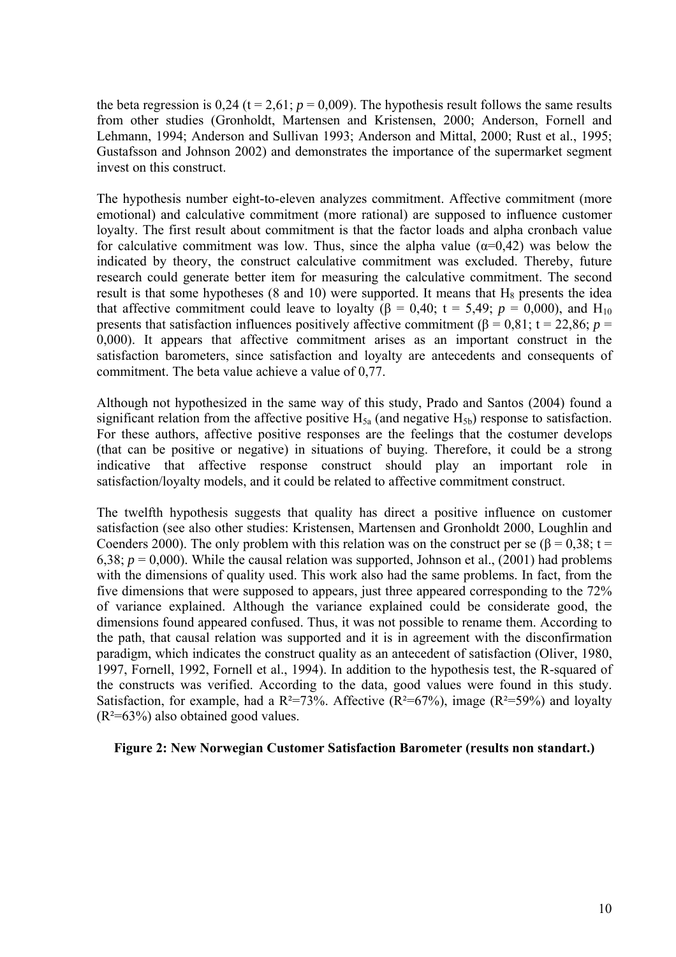the beta regression is  $0.24$  (t = 2,61;  $p = 0.009$ ). The hypothesis result follows the same results from other studies (Gronholdt, Martensen and Kristensen, 2000; Anderson, Fornell and Lehmann, 1994; Anderson and Sullivan 1993; Anderson and Mittal, 2000; Rust et al., 1995; Gustafsson and Johnson 2002) and demonstrates the importance of the supermarket segment invest on this construct.

The hypothesis number eight-to-eleven analyzes commitment. Affective commitment (more emotional) and calculative commitment (more rational) are supposed to influence customer loyalty. The first result about commitment is that the factor loads and alpha cronbach value for calculative commitment was low. Thus, since the alpha value ( $\alpha$ =0,42) was below the indicated by theory, the construct calculative commitment was excluded. Thereby, future research could generate better item for measuring the calculative commitment. The second result is that some hypotheses (8 and 10) were supported. It means that  $H_8$  presents the idea that affective commitment could leave to loyalty ( $\beta = 0.40$ ;  $t = 5.49$ ;  $p = 0.000$ ), and H<sub>10</sub> presents that satisfaction influences positively affective commitment ( $\beta = 0.81$ ;  $t = 22.86$ ;  $p =$ 0,000). It appears that affective commitment arises as an important construct in the satisfaction barometers, since satisfaction and loyalty are antecedents and consequents of commitment. The beta value achieve a value of 0,77.

Although not hypothesized in the same way of this study, Prado and Santos (2004) found a significant relation from the affective positive  $H_{5a}$  (and negative  $H_{5b}$ ) response to satisfaction. For these authors, affective positive responses are the feelings that the costumer develops (that can be positive or negative) in situations of buying. Therefore, it could be a strong indicative that affective response construct should play an important role in satisfaction/loyalty models, and it could be related to affective commitment construct.

The twelfth hypothesis suggests that quality has direct a positive influence on customer satisfaction (see also other studies: Kristensen, Martensen and Gronholdt 2000, Loughlin and Coenders 2000). The only problem with this relation was on the construct per se ( $\beta$  = 0,38; t = 6,38;  $p = 0.000$ ). While the causal relation was supported, Johnson et al., (2001) had problems with the dimensions of quality used. This work also had the same problems. In fact, from the five dimensions that were supposed to appears, just three appeared corresponding to the 72% of variance explained. Although the variance explained could be considerate good, the dimensions found appeared confused. Thus, it was not possible to rename them. According to the path, that causal relation was supported and it is in agreement with the disconfirmation paradigm, which indicates the construct quality as an antecedent of satisfaction (Oliver, 1980, 1997, Fornell, 1992, Fornell et al., 1994). In addition to the hypothesis test, the R-squared of the constructs was verified. According to the data, good values were found in this study. Satisfaction, for example, had a  $R^2=73\%$ . Affective ( $R^2=67\%$ ), image ( $R^2=59\%$ ) and loyalty  $(R<sup>2</sup>=63%)$  also obtained good values.

#### **Figure 2: New Norwegian Customer Satisfaction Barometer (results non standart.)**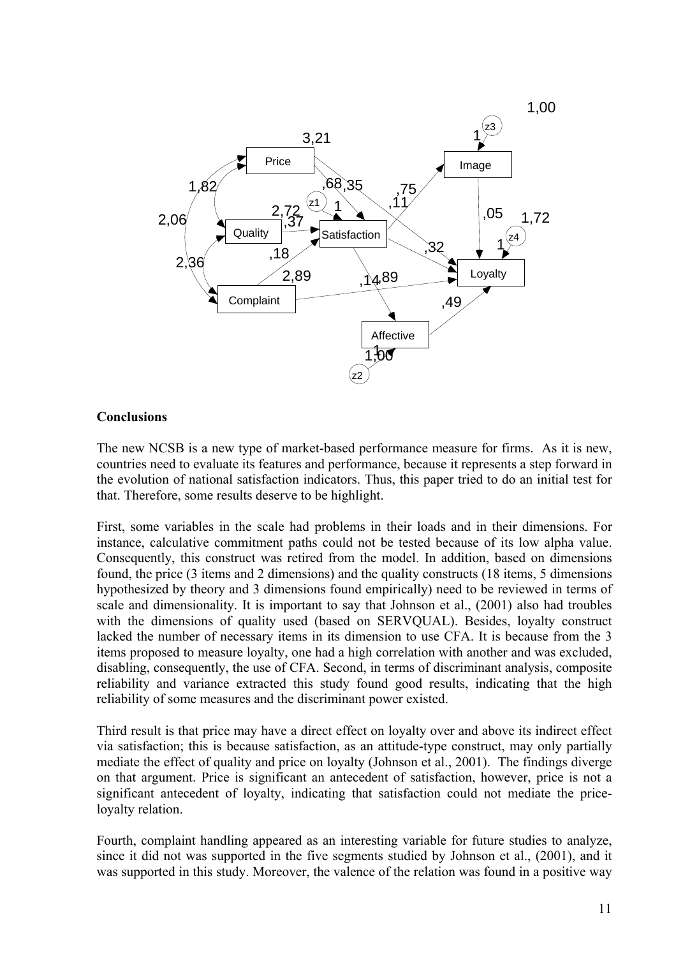

### **Conclusions**

The new NCSB is a new type of market-based performance measure for firms. As it is new, countries need to evaluate its features and performance, because it represents a step forward in the evolution of national satisfaction indicators. Thus, this paper tried to do an initial test for that. Therefore, some results deserve to be highlight.

First, some variables in the scale had problems in their loads and in their dimensions. For instance, calculative commitment paths could not be tested because of its low alpha value. Consequently, this construct was retired from the model. In addition, based on dimensions found, the price (3 items and 2 dimensions) and the quality constructs (18 items, 5 dimensions hypothesized by theory and 3 dimensions found empirically) need to be reviewed in terms of scale and dimensionality. It is important to say that Johnson et al., (2001) also had troubles with the dimensions of quality used (based on SERVQUAL). Besides, loyalty construct lacked the number of necessary items in its dimension to use CFA. It is because from the 3 items proposed to measure loyalty, one had a high correlation with another and was excluded, disabling, consequently, the use of CFA. Second, in terms of discriminant analysis, composite reliability and variance extracted this study found good results, indicating that the high reliability of some measures and the discriminant power existed.

Third result is that price may have a direct effect on loyalty over and above its indirect effect via satisfaction; this is because satisfaction, as an attitude-type construct, may only partially mediate the effect of quality and price on loyalty (Johnson et al., 2001). The findings diverge on that argument. Price is significant an antecedent of satisfaction, however, price is not a significant antecedent of loyalty, indicating that satisfaction could not mediate the priceloyalty relation.

Fourth, complaint handling appeared as an interesting variable for future studies to analyze, since it did not was supported in the five segments studied by Johnson et al., (2001), and it was supported in this study. Moreover, the valence of the relation was found in a positive way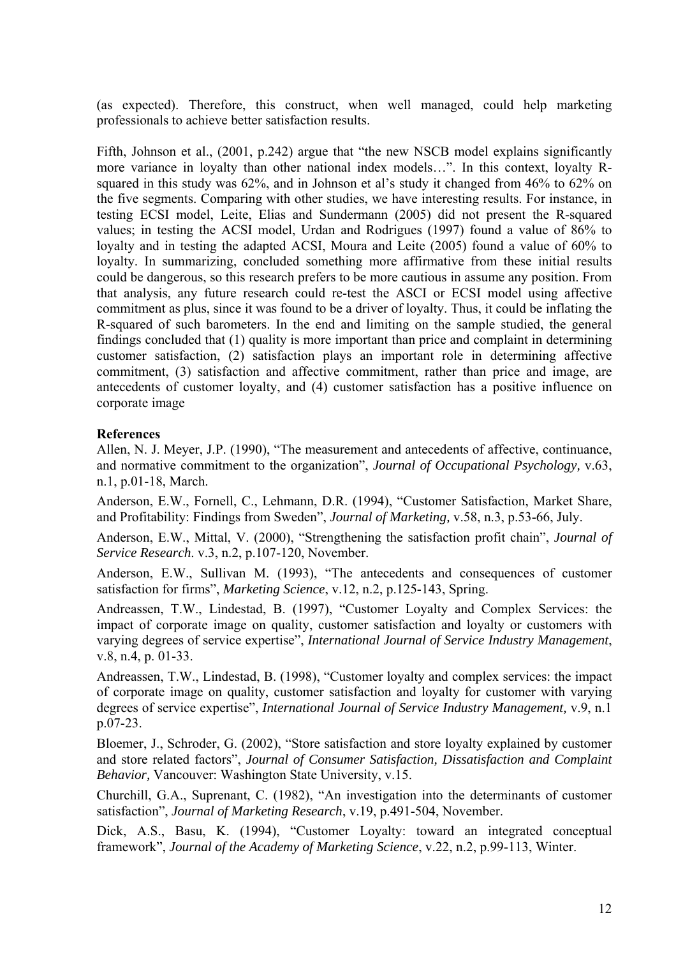(as expected). Therefore, this construct, when well managed, could help marketing professionals to achieve better satisfaction results.

Fifth, Johnson et al., (2001, p.242) argue that "the new NSCB model explains significantly more variance in loyalty than other national index models…". In this context, loyalty Rsquared in this study was 62%, and in Johnson et al's study it changed from 46% to 62% on the five segments. Comparing with other studies, we have interesting results. For instance, in testing ECSI model, Leite, Elias and Sundermann (2005) did not present the R-squared values; in testing the ACSI model, Urdan and Rodrigues (1997) found a value of 86% to loyalty and in testing the adapted ACSI, Moura and Leite (2005) found a value of 60% to loyalty. In summarizing, concluded something more affirmative from these initial results could be dangerous, so this research prefers to be more cautious in assume any position. From that analysis, any future research could re-test the ASCI or ECSI model using affective commitment as plus, since it was found to be a driver of loyalty. Thus, it could be inflating the R-squared of such barometers. In the end and limiting on the sample studied, the general findings concluded that (1) quality is more important than price and complaint in determining customer satisfaction, (2) satisfaction plays an important role in determining affective commitment, (3) satisfaction and affective commitment, rather than price and image, are antecedents of customer loyalty, and (4) customer satisfaction has a positive influence on corporate image

### **References**

Allen, N. J. Meyer, J.P. (1990), "The measurement and antecedents of affective, continuance, and normative commitment to the organization", *Journal of Occupational Psychology,* v.63, n.1, p.01-18, March.

Anderson, E.W., Fornell, C., Lehmann, D.R. (1994), "Customer Satisfaction, Market Share, and Profitability: Findings from Sweden", *Journal of Marketing,* v.58, n.3, p.53-66, July.

Anderson, E.W., Mittal, V. (2000), "Strengthening the satisfaction profit chain", *Journal of Service Research*. v.3, n.2, p.107-120, November.

Anderson, E.W., Sullivan M. (1993), "The antecedents and consequences of customer satisfaction for firms", *Marketing Science*, v.12, n.2, p.125-143, Spring.

Andreassen, T.W., Lindestad, B. (1997), "Customer Loyalty and Complex Services: the impact of corporate image on quality, customer satisfaction and loyalty or customers with varying degrees of service expertise", *International Journal of Service Industry Management*, v.8, n.4, p. 01-33.

Andreassen, T.W., Lindestad, B. (1998), "Customer loyalty and complex services: the impact of corporate image on quality, customer satisfaction and loyalty for customer with varying degrees of service expertise", *International Journal of Service Industry Management,* v.9, n.1 p.07-23.

Bloemer, J., Schroder, G. (2002), "Store satisfaction and store loyalty explained by customer and store related factors", *Journal of Consumer Satisfaction, Dissatisfaction and Complaint Behavior,* Vancouver: Washington State University, v.15.

Churchill, G.A., Suprenant, C. (1982), "An investigation into the determinants of customer satisfaction", *Journal of Marketing Research*, v.19, p.491-504, November.

Dick, A.S., Basu, K. (1994), "Customer Loyalty: toward an integrated conceptual framework", *Journal of the Academy of Marketing Science*, v.22, n.2, p.99-113, Winter.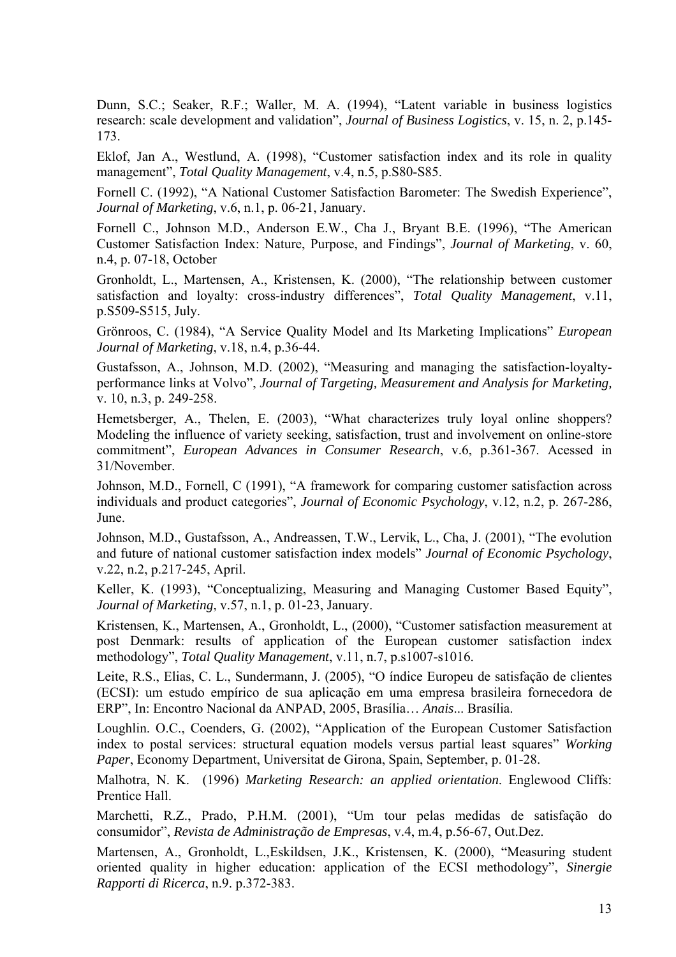Dunn, S.C.; Seaker, R.F.; Waller, M. A. (1994), "Latent variable in business logistics research: scale development and validation", *Journal of Business Logistics*, v. 15, n. 2, p.145- 173.

Eklof, Jan A., Westlund, A. (1998), "Customer satisfaction index and its role in quality management", *Total Quality Management*, v.4, n.5, p.S80-S85.

Fornell C. (1992), "A National Customer Satisfaction Barometer: The Swedish Experience", *Journal of Marketing*, v.6, n.1, p. 06-21, January.

Fornell C., Johnson M.D., Anderson E.W., Cha J., Bryant B.E. (1996), "The American Customer Satisfaction Index: Nature, Purpose, and Findings", *Journal of Marketing*, v. 60, n.4, p. 07-18, October

Gronholdt, L., Martensen, A., Kristensen, K. (2000), "The relationship between customer satisfaction and loyalty: cross-industry differences", *Total Quality Management*, v.11, p.S509-S515, July.

Grönroos, C. (1984), "A Service Quality Model and Its Marketing Implications" *European Journal of Marketing*, v.18, n.4, p.36-44.

Gustafsson, A., Johnson, M.D. (2002), "Measuring and managing the satisfaction-loyaltyperformance links at Volvo", *Journal of Targeting, Measurement and Analysis for Marketing,* v. 10, n.3, p. 249-258.

Hemetsberger, A., Thelen, E. (2003), "What characterizes truly loyal online shoppers? Modeling the influence of variety seeking, satisfaction, trust and involvement on online-store commitment", *European Advances in Consumer Research*, v.6, p.361-367. Acessed in 31/November.

Johnson, M.D., Fornell, C (1991), "A framework for comparing customer satisfaction across individuals and product categories", *Journal of Economic Psychology*, v.12, n.2, p. 267-286, June.

Johnson, M.D., Gustafsson, A., Andreassen, T.W., Lervik, L., Cha, J. (2001), "The evolution and future of national customer satisfaction index models" *Journal of Economic Psychology*, v.22, n.2, p.217-245, April.

Keller, K. (1993), "Conceptualizing, Measuring and Managing Customer Based Equity", *Journal of Marketing*, v.57, n.1, p. 01-23, January.

Kristensen, K., Martensen, A., Gronholdt, L., (2000), "Customer satisfaction measurement at post Denmark: results of application of the European customer satisfaction index methodology", *Total Quality Management*, v.11, n.7, p.s1007-s1016.

Leite, R.S., Elias, C. L., Sundermann, J. (2005), "O índice Europeu de satisfação de clientes (ECSI): um estudo empírico de sua aplicação em uma empresa brasileira fornecedora de ERP", In: Encontro Nacional da ANPAD, 2005, Brasília… *Anais*... Brasília.

Loughlin. O.C., Coenders, G. (2002), "Application of the European Customer Satisfaction index to postal services: structural equation models versus partial least squares" *Working Paper*, Economy Department, Universitat de Girona, Spain, September, p. 01-28.

Malhotra, N. K. (1996) *Marketing Research: an applied orientation*. Englewood Cliffs: Prentice Hall.

Marchetti, R.Z., Prado, P.H.M. (2001), "Um tour pelas medidas de satisfação do consumidor", *Revista de Administração de Empresas*, v.4, m.4, p.56-67, Out.Dez.

Martensen, A., Gronholdt, L.,Eskildsen, J.K., Kristensen, K. (2000), "Measuring student oriented quality in higher education: application of the ECSI methodology", *Sinergie Rapporti di Ricerca*, n.9. p.372-383.